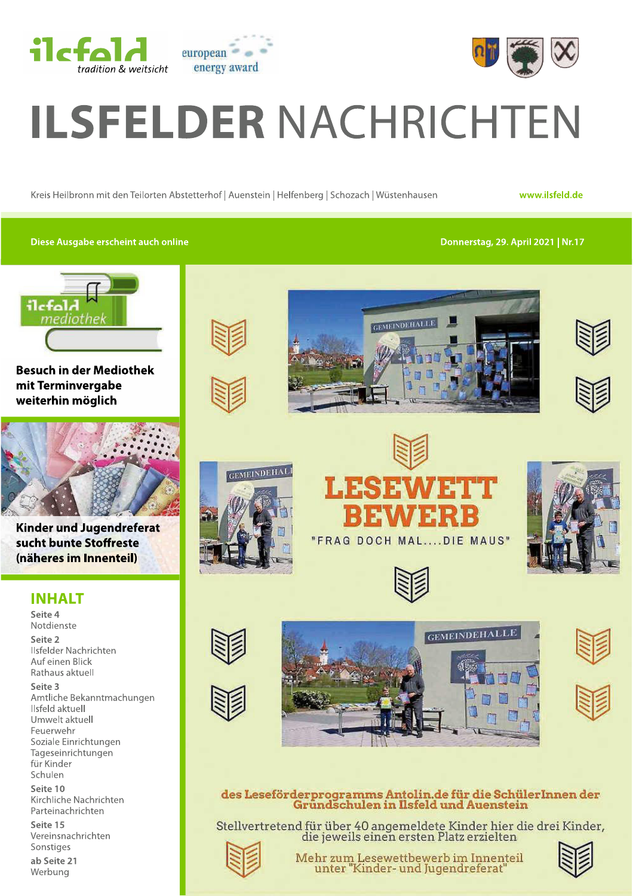



# **ILSFELDER NACHRICHTEN**

Kreis Heilbronn mit den Teilorten Abstetterhof | Auenstein | Helfenberg | Schozach | Wüstenhausen

www.ilsfeld.de

#### Diese Ausgabe erscheint auch online

Donnerstag, 29. April 2021 | Nr.17



**Besuch in der Mediothek** mit Terminvergabe weiterhin möglich



**Kinder und Jugendreferat** sucht bunte Stoffreste (näheres im Innenteil)

## **INHALT**

Seite 4 Notdienste Seite 2 Ilsfelder Nachrichten Auf einen Blick Rathaus aktuell Seite 3 Amtliche Bekanntmachungen Ilsfeld aktuell Umwelt aktuell Feuerwehr Soziale Einrichtungen Tageseinrichtungen für Kinder Schulen

Seite 10 Kirchliche Nachrichten Parteinachrichten

Seite 15 Vereinsnachrichten Sonstiges

ab Seite 21 Werbung

















**GEMEINDEHALLE** 





## des Leseförderprogramms Antolin.de für die SchülerInnen der<br>Gründschulen in Ilsfeld und Auenstein

Stellvertretend für über 40 angemeldete Kinder hier die drei Kinder,<br>die jeweils einen ersten Platz erzielten



Mehr zum Lesewettbewerb im Innenteil unter "Kinder- und Jugendreferat

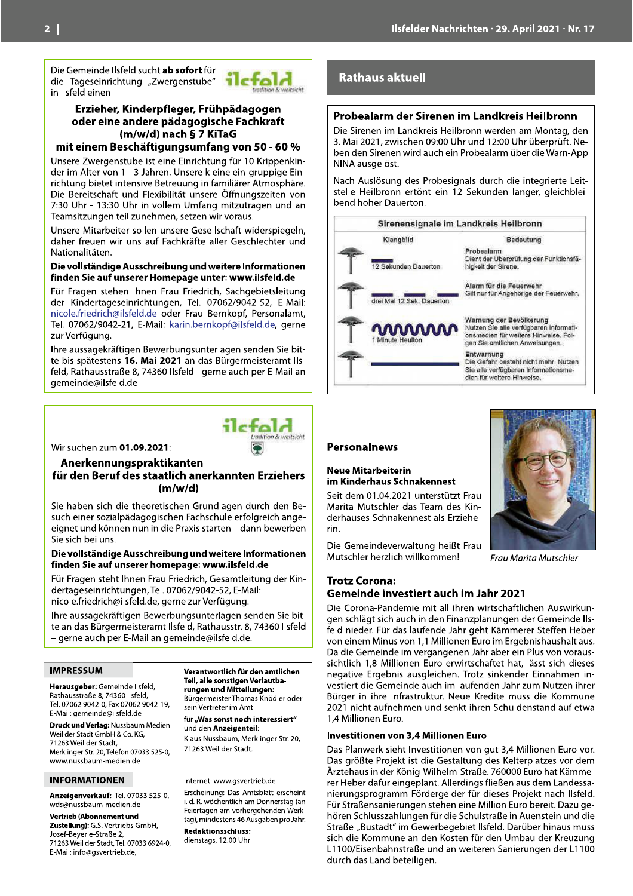Die Gemeinde Ilsfeld sucht ab sofort für die Tageseinrichtung "Zwergenstube" in Ilsfeld einen



#### Erzieher, Kinderpfleger, Frühpädagogen oder eine andere pädagogische Fachkraft (m/w/d) nach § 7 KiTaG

#### mit einem Beschäftigungsumfang von 50 - 60 %

Unsere Zwergenstube ist eine Einrichtung für 10 Krippenkinder im Alter von 1 - 3 Jahren. Unsere kleine ein-gruppige Einrichtung bietet intensive Betreuung in familiärer Atmosphäre. Die Bereitschaft und Flexibilität unsere Öffnungszeiten von 7:30 Uhr - 13:30 Uhr in vollem Umfang mitzutragen und an Teamsitzungen teil zunehmen, setzen wir voraus.

Unsere Mitarbeiter sollen unsere Gesellschaft widerspiegeln. daher freuen wir uns auf Fachkräfte aller Geschlechter und Nationalitäten.

#### Die vollständige Ausschreibung und weitere Informationen finden Sie auf unserer Homepage unter: www.ilsfeld.de

Für Fragen stehen Ihnen Frau Friedrich, Sachgebietsleitung der Kindertageseinrichtungen, Tel. 07062/9042-52, E-Mail: nicole.friedrich@ilsfeld.de oder Frau Bernkopf, Personalamt, Tel. 07062/9042-21, E-Mail: karin.bernkopf@ilsfeld.de, gerne zur Verfügung.

Ihre aussagekräftigen Bewerbungsunterlagen senden Sie bitte bis spätestens 16. Mai 2021 an das Bürgermeisteramt Ilsfeld, Rathausstraße 8, 74360 Ilsfeld - gerne auch per E-Mail an gemeinde@ilsfeld.de



Wir suchen zum 01.09.2021:

#### Anerkennungspraktikanten für den Beruf des staatlich anerkannten Erziehers  $(m/w/d)$

Sie haben sich die theoretischen Grundlagen durch den Besuch einer sozialpädagogischen Fachschule erfolgreich angeeignet und können nun in die Praxis starten - dann bewerben Sie sich bei uns.

#### Die vollständige Ausschreibung und weitere Informationen finden Sie auf unserer homepage: www.ilsfeld.de

Für Fragen steht Ihnen Frau Friedrich, Gesamtleitung der Kindertageseinrichtungen, Tel. 07062/9042-52, E-Mail: nicole.friedrich@ilsfeld.de, gerne zur Verfügung.

Ihre aussagekräftigen Bewerbungsunterlagen senden Sie bitte an das Bürgermeisteramt Ilsfeld, Rathausstr. 8, 74360 Ilsfeld - gerne auch per E-Mail an gemeinde@ilsfeld.de.

#### **IMPRESSUM**

Herausgeber: Gemeinde Ilsfeld, Rathausstraße 8, 74360 Ilsfeld, Tel. 07062 9042-0, Fax 07062 9042-19, E-Mail: gemeinde@ilsfeld.de

Druck und Verlag: Nussbaum Medien Weil der Stadt GmbH & Co. KG, 71263 Weil der Stadt, Merklinger Str. 20, Telefon 07033 525-0, www.nussbaum-medien.de

#### **INFORMATIONEN**

Anzeigenverkauf: Tel. 07033 525-0. wds@nussbaum-medien.de

**Vertrieb (Abonnement und** Zustellung): G.S. Vertriebs GmbH, Josef-Beverle-Straße 2. 71263 Weil der Stadt, Tel. 07033 6924-0, E-Mail: info@gsvertrieb.de.

Verantwortlich für den amtlichen Teil, alle sonstigen Verlautbarungen und Mitteilungen: Bürgermeister Thomas Knödler oder sein Vertreter im Amt -

für "Was sonst noch interessiert" und den Anzeigenteil: Klaus Nussbaum, Merklinger Str. 20.

71263 Weil der Stadt.

Internet: www.gsvertrieb.de

Erscheinung: Das Amtsblatt erscheint i. d. R. wöchentlich am Donnerstag (an Feiertagen am vorhergehenden Werktag), mindestens 46 Ausgaben pro Jahr. **Redaktionsschluss:** 

dienstags, 12.00 Uhr

## **Rathaus aktuell**

#### Probealarm der Sirenen im Landkreis Heilbronn

Die Sirenen im Landkreis Heilbronn werden am Montag, den 3. Mai 2021, zwischen 09:00 Uhr und 12:00 Uhr überprüft. Neben den Sirenen wird auch ein Probealarm über die Warn-App NINA ausgelöst.

Nach Auslösung des Probesignals durch die integrierte Leitstelle Heilbronn ertönt ein 12 Sekunden langer, gleichbleibend hoher Dauerton.

|                           | Sirenensignale im Landkreis Heilbronn                                                                                                       |
|---------------------------|---------------------------------------------------------------------------------------------------------------------------------------------|
| Klangbild                 | Bedeutung                                                                                                                                   |
| 12 Sekunden Dauerton      | Probealarm<br>Dient der Überprüfung der Funktionsfä-<br>hickelt der Sirene.                                                                 |
| drei Mal 12 Sek. Dauerton | Alarm für die Feuerwehr<br>Gilt nur für Angehörige der Feuerwehr.                                                                           |
| mmmm<br>Minute Heulton    | Warnung der Bevölkerung<br>Nutzen Sie alle verfügbaren Informati-<br>onsmedien für weitere Hinweise, Fol-<br>gen Sie amtlichen Anweisungen. |
|                           | Entwarnung<br>Die Gefahr besteht nicht mehr. Nutzen<br>Sie alle verfügbaren Informationsme-<br>dien für weitere Hinweise.                   |

#### **Personalnews**

#### **Neue Mitarbeiterin** im Kinderhaus Schnakennest

Seit dem 01.04.2021 unterstützt Frau Marita Mutschler das Team des Kinderhauses Schnakennest als Erzieherin.

Die Gemeindeverwaltung heißt Frau Mutschler herzlich willkommen!



Frau Marita Mutschler

#### **Trotz Corona:** Gemeinde investiert auch im Jahr 2021

Die Corona-Pandemie mit all ihren wirtschaftlichen Auswirkungen schlägt sich auch in den Finanzplanungen der Gemeinde Ilsfeld nieder. Für das laufende Jahr geht Kämmerer Steffen Heber von einem Minus von 1,1 Millionen Euro im Ergebnishaushalt aus. Da die Gemeinde im vergangenen Jahr aber ein Plus von voraussichtlich 1,8 Millionen Euro erwirtschaftet hat, lässt sich dieses negative Ergebnis ausgleichen. Trotz sinkender Einnahmen investiert die Gemeinde auch im laufenden Jahr zum Nutzen ihrer Bürger in ihre Infrastruktur. Neue Kredite muss die Kommune 2021 nicht aufnehmen und senkt ihren Schuldenstand auf etwa 1.4 Millionen Furo.

#### Investitionen von 3,4 Millionen Euro

Das Planwerk sieht Investitionen von gut 3,4 Millionen Euro vor. Das größte Projekt ist die Gestaltung des Kelterplatzes vor dem Ärztehaus in der König-Wilhelm-Straße. 760000 Euro hat Kämmerer Heber dafür eingeplant. Allerdings fließen aus dem Landessanierungsprogramm Fördergelder für dieses Projekt nach Ilsfeld. Für Straßensanierungen stehen eine Million Euro bereit. Dazu gehören Schlusszahlungen für die Schulstraße in Auenstein und die Straße "Bustadt" im Gewerbegebiet Ilsfeld. Darüber hinaus muss sich die Kommune an den Kosten für den Umbau der Kreuzung L1100/Eisenbahnstraße und an weiteren Sanierungen der L1100 durch das Land beteiligen.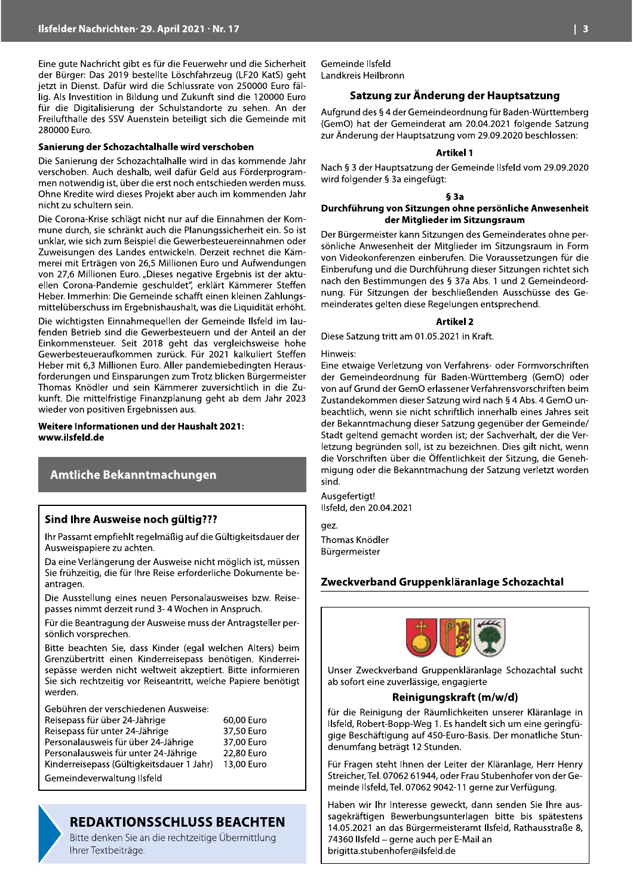Eine gute Nachricht gibt es für die Feuerwehr und die Sicherheit der Bürger: Das 2019 bestellte Löschfahrzeug (LF20 KatS) geht jetzt in Dienst. Dafür wird die Schlussrate von 250000 Euro fällig. Als Investition in Bildung und Zukunft sind die 120000 Euro für die Digitalisierung der Schulstandorte zu sehen. An der Freilufthalle des SSV Auenstein beteiligt sich die Gemeinde mit 280000 Euro.

#### Sanierung der Schozachtalhalle wird verschoben

Die Sanierung der Schozachtalhalle wird in das kommende Jahr verschoben. Auch deshalb, weil dafür Geld aus Förderprogrammen notwendig ist, über die erst noch entschieden werden muss. Ohne Kredite wird dieses Projekt aber auch im kommenden Jahr nicht zu schultern sein.

Die Corona-Krise schlägt nicht nur auf die Einnahmen der Kommune durch, sie schränkt auch die Planungssicherheit ein. So ist unklar, wie sich zum Beispiel die Gewerbesteuereinnahmen oder Zuweisungen des Landes entwickeln. Derzeit rechnet die Kämmerei mit Erträgen von 26,5 Millionen Euro und Aufwendungen von 27,6 Millionen Euro. "Dieses negative Ergebnis ist der aktuellen Corona-Pandemie geschuldet", erklärt Kämmerer Steffen Heber, Immerhin: Die Gemeinde schafft einen kleinen Zahlungsmittelüberschuss im Ergebnishaushalt, was die Liquidität erhöht.

Die wichtigsten Einnahmeguellen der Gemeinde Ilsfeld im laufenden Betrieb sind die Gewerbesteuern und der Anteil an der Einkommensteuer. Seit 2018 geht das vergleichsweise hohe Gewerbesteueraufkommen zurück. Für 2021 kalkuliert Steffen Heber mit 6,3 Millionen Euro. Aller pandemiebedingten Herausforderungen und Einsparungen zum Trotz blicken Bürgermeister Thomas Knödler und sein Kämmerer zuversichtlich in die Zukunft. Die mittelfristige Finanzplanung geht ab dem Jahr 2023 wieder von positiven Ergebnissen aus.

Weitere Informationen und der Haushalt 2021: www.ilsfeld.de

#### **Amtliche Bekanntmachungen**

#### Sind Ihre Ausweise noch gültig???

Ihr Passamt empfiehlt regelmäßig auf die Gültigkeitsdauer der Ausweispapiere zu achten.

Da eine Verlängerung der Ausweise nicht möglich ist, müssen Sie frühzeitig, die für Ihre Reise erforderliche Dokumente beantragen.

Die Ausstellung eines neuen Personalausweises bzw. Reisepasses nimmt derzeit rund 3-4 Wochen in Anspruch.

Für die Beantragung der Ausweise muss der Antragsteller persönlich vorsprechen.

Bitte beachten Sie, dass Kinder (egal welchen Alters) beim Grenzübertritt einen Kinderreisepass benötigen. Kinderreisepässe werden nicht weltweit akzeptiert. Bitte informieren Sie sich rechtzeitig vor Reiseantritt, welche Papiere benötigt werden.

Gebühren der verschiedenen Ausweise:

| Reisepass für über 24-Jährige             | 60.00 Euro |
|-------------------------------------------|------------|
| Reisepass für unter 24-Jährige            | 37,50 Euro |
| Personalausweis für über 24-Jährige       | 37,00 Euro |
| Personalausweis für unter 24-Jährige      | 22.80 Euro |
| Kinderreisepass (Gültigkeitsdauer 1 Jahr) | 13,00 Euro |
| Gemeindeverwaltung Ilsfeld                |            |

## **REDAKTIONSSCHLUSS BEACHTEN**

Bitte denken Sie an die rechtzeitige Übermittlung Ihrer Textbeiträge.

Gemeinde Ilsfeld Landkreis Heilbronn

#### Satzung zur Änderung der Hauptsatzung

Aufgrund des § 4 der Gemeindeordnung für Baden-Württemberg (GemO) hat der Gemeinderat am 20.04.2021 folgende Satzung zur Änderung der Hauptsatzung vom 29.09.2020 beschlossen:

#### **Artikel 1**

Nach § 3 der Hauptsatzung der Gemeinde Ilsfeld vom 29.09.2020 wird folgender § 3a eingefügt:

#### $§$  3a

#### Durchführung von Sitzungen ohne persönliche Anwesenheit der Mitglieder im Sitzungsraum

Der Bürgermeister kann Sitzungen des Gemeinderates ohne persönliche Anwesenheit der Mitglieder im Sitzungsraum in Form von Videokonferenzen einberufen. Die Voraussetzungen für die Einberufung und die Durchführung dieser Sitzungen richtet sich nach den Bestimmungen des § 37a Abs. 1 und 2 Gemeindeordnung. Für Sitzungen der beschließenden Ausschüsse des Gemeinderates gelten diese Regelungen entsprechend.

#### **Artikel 2**

Diese Satzung tritt am 01.05.2021 in Kraft.

Hinweis:

Eine etwaige Verletzung von Verfahrens- oder Formvorschriften der Gemeindeordnung für Baden-Württemberg (GemO) oder von auf Grund der GemO erlassener Verfahrensvorschriften beim Zustandekommen dieser Satzung wird nach § 4 Abs. 4 GemO unbeachtlich, wenn sie nicht schriftlich innerhalb eines Jahres seit der Bekanntmachung dieser Satzung gegenüber der Gemeinde/ Stadt geltend gemacht worden ist; der Sachverhalt, der die Verletzung begründen soll, ist zu bezeichnen. Dies gilt nicht, wenn die Vorschriften über die Öffentlichkeit der Sitzung, die Genehmigung oder die Bekanntmachung der Satzung verletzt worden sind.

Ausgefertigt! Ilsfeld, den 20.04.2021 qez. Thomas Knödler Bürgermeister

#### Zweckverband Gruppenkläranlage Schozachtal



Unser Zweckverband Gruppenkläranlage Schozachtal sucht ab sofort eine zuverlässige, engagierte

#### Reinigungskraft (m/w/d)

für die Reinigung der Räumlichkeiten unserer Kläranlage in Ilsfeld, Robert-Bopp-Weg 1. Es handelt sich um eine geringfügige Beschäftigung auf 450-Euro-Basis. Der monatliche Stundenumfang beträgt 12 Stunden.

Für Fragen steht Ihnen der Leiter der Kläranlage, Herr Henry Streicher, Tel. 07062 61944, oder Frau Stubenhofer von der Gemeinde Ilsfeld, Tel. 07062 9042-11 gerne zur Verfügung.

Haben wir Ihr Interesse geweckt, dann senden Sie Ihre aussagekräftigen Bewerbungsunterlagen bitte bis spätestens 14.05.2021 an das Bürgermeisteramt Ilsfeld, Rathausstraße 8, 74360 Ilsfeld - gerne auch per E-Mail an brigitta.stubenhofer@ilsfeld.de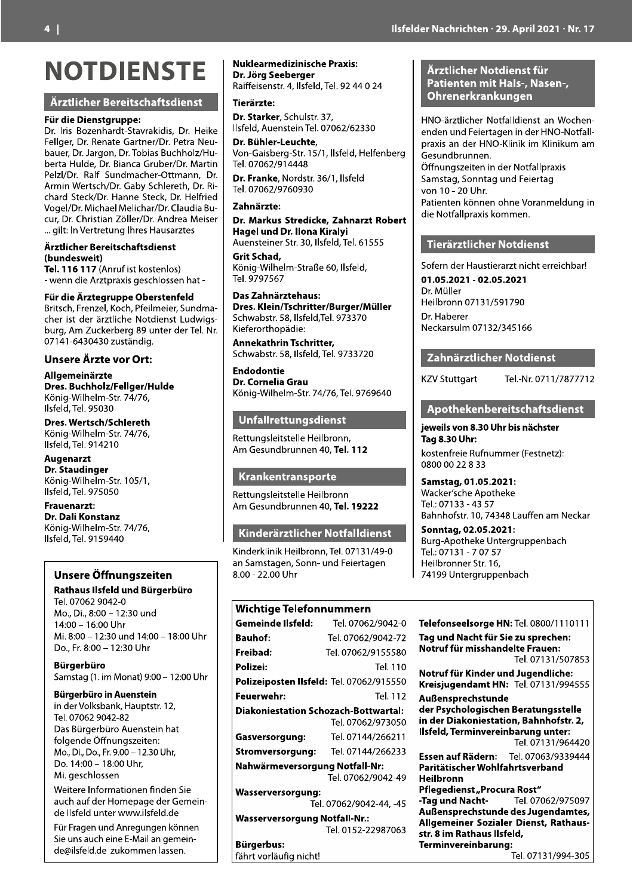#### Ärztlicher Bereitschaftsdienst

\_! ` a 3?'(W?4D(N1T%;>B?<E/AEBb?BJ4<4D2(3?'(L%4J%( @%&&F%?2(3?'(c%;BE%(YB?E;%?d3?'(e%E?B(f%:/ KB:%?2(3?'(gB?F1;2(3?'(\$1K4BD(N:U>>1&TdL:/ K%?EB(L:&<%2(3?'(N4B;UB(Y?:K%?d3?'(0B?E4;( e%&T&d3?'(cB&Q(A:;<CBU>%?/hEECB;;2(3?'( P?C4;(V%?EDU>d3?'(YBKi(AU>&%?%E>2(3?'(c4/ U>B?<(AE%UJd3?'(LB;;%(AE%UJ2(3?'(L%&Q?4%<( I1F%&d3?'(04U>B%&(0%&4U>B?d3?'(j&B:<4B(N:/ U:?2(3?'(j>?4DE4B;(k[&&%?d3?'(P;<?%B(0%4D%?( '''(F4&E6(W;(I%?E?%E:;F(W>?%D(LB:DB?TE%D ^ 
  l"mn opGP;?:Q(4DE(J1DE%;&1DH /(Z%;;(<4%(P?TEM?Bq4D(F%DU>&1DD%;(>BE(/ \_! ^ r" N?4EDU>2(@?%;T%&2(s1U>2(eQ%4&C%4%?2(A:;<CB/ U>%?(4DE(<%?(t?TE&4U>%(f1E<4%;DE(u:<Z4FD/ K:?F2(PC(k:UJ%?K%?F(5-(:;E%?(<%?(\$%&'(f?'( )\*8.8/+.9).9)(T:DEt;<4F' ^ v# r a wx ` 

#y\_ yz s[;4F/V4&>%&C/AE?'(\*.d\*+2 W&DQ%&<2(\$%&'(-{)9) ` | 
y}
 W&DQ%&<2(\$%&'(-8.,8) ` } s[;4F/V4&>%&C/AE?'(8){d82 W&DQ%&<2(\$%&'(-\*{){) \_ a ` `~# s[;4F/V4&>%&C/AE?'(\*.d\*+2 W&DQ%&<2(\$%&'(-8{-..) **ISfelder Nach Hotel States**<br>
Institutions and the Content of Marketins (Pack and the Content of Marketins (Pack and the Content of Marketins (Pack and the Content of Marketins (Gruber/Dr. Petra Neu-<br>
Institute (Pack and t

## Unsere Öffnungszeiten<br>Rathaus Ilsfeld und Bürgerbüro

Frauentari:<br>
Monstanz<br>
König-Wilhelm-Str. 74/76,<br>
Ilsfeld, Tel. 9159440<br>
Insere Öffnungszeiten<br>
an Samstag<br>
Mons, D., 8:00 – 12:30 Unr<br>
Mi. 8:00 – 12:30 Unr<br>
Mi. 8:00 – 12:30 Unr<br>
Mi. 8:00 – 12:30 Unr<br>
Mi. 8:00 – 12:30 Un

 w
 a

#### Kinderärztlicher Notfalldienst

|                                  |                                                                 |                                             | 0800 00 22 8 33                                        |  |
|----------------------------------|-----------------------------------------------------------------|---------------------------------------------|--------------------------------------------------------|--|
| /1,                              | Krankentransporte                                               |                                             | <b>Samstag, 01.05</b>                                  |  |
|                                  | Rettungsleitstelle Heilbronn<br>Am Gesundbrunnen 40, Tel. 19222 |                                             | Wacker'sche Ap<br>Tel.: 07133 - 43!<br>Bahnhofstr. 10, |  |
| 76,                              | Kinderärztlicher Notfalldienst                                  |                                             | <b>Sonntag, 02.05</b>                                  |  |
|                                  | Kinderklinik Heilbronn, Tel. 07131/49-0                         |                                             | Burg-Apotheke<br>Tel.: 07131 - 707                     |  |
| szeiten                          | an Samstagen, Sonn- und Feiertagen<br>8.00 - 22.00 Uhr          |                                             | Heilbronner Str.<br>74199 Untergru                     |  |
| Bürgerbüro                       |                                                                 |                                             |                                                        |  |
| und                              | <b>Wichtige Telefonnummern</b>                                  |                                             |                                                        |  |
|                                  | <b>Gemeinde Ilsfeld:</b>                                        | Tel. 07062/9042-0                           | Telefonseelsorg                                        |  |
| 14:00 – 18:00 Uhr                | <b>Bauhof:</b>                                                  | Tel. 07062/9042-72                          | Tag und Nacht f                                        |  |
| Jhr                              | Freibad:                                                        | Tel. 07062/9155580                          | Notruf für missl                                       |  |
|                                  | Polizei:                                                        | Tel. 110                                    | Notruf für Kind                                        |  |
| t) 9:00 – 12:00 Uhr              |                                                                 | Polizeiposten Ilsfeld: Tel. 07062/915550    |                                                        |  |
| stein                            | Feuerwehr:                                                      | Tel. 112                                    | Außensprechst                                          |  |
| uptstr. 12,                      |                                                                 | <b>Diakoniestation Schozach-Bottwartal:</b> | der Psychologis                                        |  |
| nstein hat                       |                                                                 | Tel. 07062/973050                           | in der Diakonie<br>Ilsfeld, Terminv                    |  |
| eiten:                           | Gasversorgung:                                                  | Tel. 07144/266211                           |                                                        |  |
| 12.30 Uhr,                       | <b>Stromversorgung:</b>                                         | Tel. 07144/266233                           | Essen auf Räder                                        |  |
| r,                               | Nahwärmeversorgung Notfall-Nr:                                  | Tel. 07062/9042-49                          | Paritätischer W<br><b>Heilbronn</b>                    |  |
| en finden Sie                    | <b>Wasserversorgung:</b>                                        |                                             | Pflegedienst "P                                        |  |
| age der Gemein-                  | Tel. 07062/9042-44, -45                                         |                                             | -Tag und Nacht-                                        |  |
| ilsfeld.de.                      | <b>Wasserversorgung Notfall-Nr.:</b>                            |                                             | Außensprechst<br><b>Allgemeiner So</b>                 |  |
| jungen können<br>lail an gemein- | Tel. 0152-22987063                                              |                                             | str. 8 im Rathau                                       |  |
| men lassen.                      | <b>Bürgerbus:</b>                                               |                                             | Terminvereinba                                         |  |
|                                  | fährt vorläufig nicht!                                          |                                             |                                                        |  |

#### Arztlicher Notdienst für I Patienten mit Hals-, Nasen-, Ohrenerkrankungen

HNO-ärztlicher Notfalldienst an Wochenenden und Feiertagen in der HNO-Notfall-<br>praxis an der HNO-Klinik im Klinikum am

#### Tierärztlicher Notdienst

Arztlicher Notdienst für<br>
Patienten mit Hals-, Nasen-,<br>
Ohrenerkrankungen<br>
HNO-ärztlicher Notfalldienst an Wochen-<br>
enden und Feiertagen in der HNO-Notfall-<br>
praxis an der HNO-Klinik im Klinikum am<br>
Gesundbrunnen.<br>
Offungs Sofern der Haustierarzt nicht erreichbar!<br>01.05.2021 - 02.05.2021 Patienten können ohne Vor.<br>
alyi<br>
Id, Tel. 61555<br>
0, Ilsfeld,<br>
50fern der Haustierarzt nich<br>
50fern der Haustierarzt nich<br>
50fern der Haustierarzt nich<br>
1.973370<br>
Dr. Müller<br>
Heilbronn 07131/591790<br>
Dr. Haberer<br>
Neckarsulm # skI(AE:EEFB?E(( \$%&'/f?'()\*88d\*5\*\*\*8, #
"  mv#
 "x
 o
 a J1DE%;Q?%4%(c:Q;:CC%?(G@%DE;%ETH6( )5))())(,,(5(99 }wa

MPOthekenbereitschartsdienst<br>
onn,<br>
Tel. 112<br>
Rag 8.30 Uhr:<br>
Tel. 112<br>
Rasstag, 01.05.2021:<br>
onn<br>
Tel. 19222<br>
Tel.: 07133 - 4357<br>
Samstag, 01.05.2021:<br>
Vacker'sche Apotheke<br>
Tel.: 07133 - 4357<br>
Bahnofstr. 10, 74348 Lauffen

Telefonseelsorge HN: Tel. 0800/1110111 Sonntag, 02.05.2021:<br>
Burg-Apotheke Untergruppenbach<br>
Tel.: 07131 - 7 07 57<br>
Heilbronner Str. 16,<br>
74199 Untergruppenbach<br> **Telefonseelsorge HN:** Tel. 0800/1110111<br> **Tag und Nacht für Sie zu sprechen:**<br> **Notruf für misshan** Tag und Nacht für Sie zu sprechen: Notruf für misshandelte Frauen: relibromer Str. 16,<br>
74199 Untergruppenbach<br>
Telefonseelsorge HN: Tel. 0800/1110111<br>
Tag und Nacht für Sie zu sprechen:<br>
Notruf für misshandelte Frauen:<br>
Tel. 07131/507853<br>
Notruf für Kinder und Jugendliche:<br>
Kreisjugendam Notruf für Kinder und Jugendliche: Kreisjugendamt HN: Tel. 07131/994555<br>Außensprechstunde Telefonseelsorge HN: Tel. 0800/1110111<br>
Tag und Nacht für Sie zu sprechen:<br>
Notruf für misshandelte Frauen:<br>
Tel. 07131/507853<br>
Notruf für Kinder und Jugendliche:<br>
Kreisjugendamt HN: Tel. 07131/994555<br>
Außensprechstunde<br>
d der Psychologischen Beratungsstelle<br>
in der Diakoniestation, Bahnhofstr. 2,<br>
Ilsfeld, Terminvereinbarung unter:<br>
Tel. 07131/964420<br>
Essen auf Rädern: Tel. 07063/9339444<br>
Paritätischer Wohlfahrtsverband<br>
Heilbronn<br>
Pfle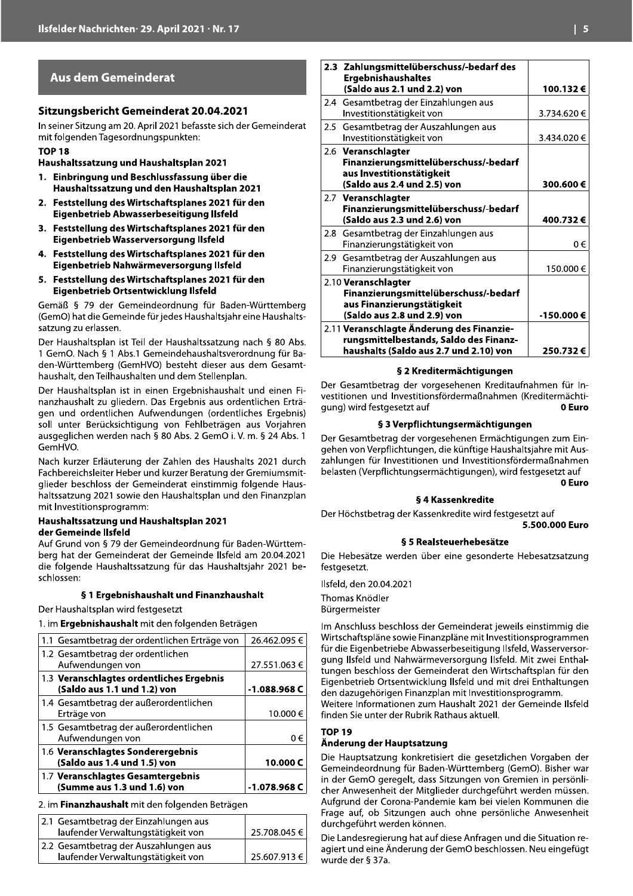### **Aus dem Gemeinderat**

#### **Sitzungsbericht Gemeinderat 20.04.2021**

In seiner Sitzung am 20. April 2021 befasste sich der Gemeinderat mit folgenden Tagesordnungspunkten:

#### **TOP 18**

Haushaltssatzung und Haushaltsplan 2021

- 1. Einbringung und Beschlussfassung über die Haushaltssatzung und den Haushaltsplan 2021
- 2. Feststellung des Wirtschaftsplanes 2021 für den Eigenbetrieb Abwasserbeseitigung Ilsfeld
- 3. Feststellung des Wirtschaftsplanes 2021 für den Eigenbetrieb Wasserversorgung Ilsfeld
- 4. Feststellung des Wirtschaftsplanes 2021 für den Eigenbetrieb Nahwärmeversorgung Ilsfeld
- 5. Feststellung des Wirtschaftsplanes 2021 für den Eigenbetrieb Ortsentwicklung Ilsfeld

Gemäß § 79 der Gemeindeordnung für Baden-Württemberg (GemO) hat die Gemeinde für jedes Haushaltsjahr eine Haushaltssatzung zu erlassen.

Der Haushaltsplan ist Teil der Haushaltssatzung nach § 80 Abs. 1 GemO. Nach § 1 Abs.1 Gemeindehaushaltsverordnung für Baden-Württemberg (GemHVO) besteht dieser aus dem Gesamthaushalt, den Teilhaushalten und dem Stellenplan.

Der Haushaltsplan ist in einen Ergebnishaushalt und einen Finanzhaushalt zu gliedern. Das Ergebnis aus ordentlichen Erträgen und ordentlichen Aufwendungen (ordentliches Ergebnis) soll unter Berücksichtigung von Fehlbeträgen aus Vorjahren ausgeglichen werden nach § 80 Abs. 2 GemO i. V. m. § 24 Abs. 1 GemHVO.

Nach kurzer Erläuterung der Zahlen des Haushalts 2021 durch Fachbereichsleiter Heber und kurzer Beratung der Gremiumsmitglieder beschloss der Gemeinderat einstimmig folgende Haushaltssatzung 2021 sowie den Haushaltsplan und den Finanzplan mit Investitionsprogramm:

#### Haushaltssatzung und Haushaltsplan 2021 der Gemeinde Ilsfeld

Auf Grund von § 79 der Gemeindeordnung für Baden-Württemberg hat der Gemeinderat der Gemeinde Ilsfeld am 20.04.2021 die folgende Haushaltssatzung für das Haushaltsjahr 2021 beschlossen:

#### § 1 Ergebnishaushalt und Finanzhaushalt

Der Haushaltsplan wird festgesetzt

1. im Ergebnishaushalt mit den folgenden Beträgen

| 1.1 Gesamtbetrag der ordentlichen Erträge von                           | 26.462.095 €  |
|-------------------------------------------------------------------------|---------------|
| 1.2 Gesamtbetrag der ordentlichen<br>Aufwendungen von                   | 27.551.063€   |
| 1.3 Veranschlagtes ordentliches Ergebnis<br>(Saldo aus 1.1 und 1.2) von | $-1.088.968C$ |
| 1.4 Gesamtbetrag der außerordentlichen<br>Erträge von                   | 10.000 €      |
| 1.5 Gesamtbetrag der außerordentlichen<br>Aufwendungen von              | () ∈          |
| 1.6 Veranschlagtes Sonderergebnis<br>(Saldo aus 1.4 und 1.5) von        | 10.000 C      |
| 1.7 Veranschlagtes Gesamtergebnis<br>(Summe aus 1.3 und 1.6) von        | -1.078.968 C  |

2. im Finanzhaushalt mit den folgenden Beträgen

| 2.1 Gesamtbetrag der Einzahlungen aus |              |
|---------------------------------------|--------------|
| laufender Verwaltungstätigkeit von    | 25.708.045 € |
| 2.2 Gesamtbetrag der Auszahlungen aus |              |
| laufender Verwaltungstätigkeit von    | 25.607.913 € |

| 2.3 Zahlungsmittelüberschuss/-bedarf des<br><b>Ergebnishaushaltes</b><br>(Saldo aus 2.1 und 2.2) von                          | 100.132€    |
|-------------------------------------------------------------------------------------------------------------------------------|-------------|
| 2.4 Gesamtbetrag der Einzahlungen aus<br>Investitionstätigkeit von                                                            | 3.734.620 € |
| 2.5 Gesamtbetrag der Auszahlungen aus<br>Investitionstätigkeit von                                                            | 3.434.020 € |
| 2.6 Veranschlagter<br>Finanzierungsmittelüberschuss/-bedarf<br>aus Investitionstätigkeit<br>(Saldo aus 2.4 und 2.5) von       | 300.600€    |
| 2.7 Veranschlagter<br>Finanzierungsmittelüberschuss/-bedarf<br>(Saldo aus 2.3 und 2.6) von                                    | 400.732€    |
| 2.8 Gesamtbetrag der Einzahlungen aus<br>Finanzierungstätigkeit von                                                           | 0€          |
| 2.9 Gesamtbetrag der Auszahlungen aus<br>Finanzierungstätigkeit von                                                           | 150.000€    |
| 2.10 Veranschlagter<br>Finanzierungsmittelüberschuss/-bedarf<br>aus Finanzierungstätigkeit<br>(Saldo aus 2.8 und 2.9) von     | -150.000€   |
| 2.11 Veranschlagte Änderung des Finanzie-<br>rungsmittelbestands, Saldo des Finanz-<br>haushalts (Saldo aus 2.7 und 2.10) von | 250.732€    |
| e with a discussion of their                                                                                                  |             |

#### § 2 Kreditermächtigungen

Der Gesamtbetrag der vorgesehenen Kreditaufnahmen für Investitionen und Investitionsfördermaßnahmen (Kreditermächti-0 Euro qung) wird festgesetzt auf

#### § 3 Verpflichtungsermächtigungen

Der Gesamtbetrag der vorgesehenen Ermächtigungen zum Eingehen von Verpflichtungen, die künftige Haushaltsjahre mit Auszahlungen für Investitionen und Investitionsfördermaßnahmen belasten (Verpflichtungsermächtigungen), wird festgesetzt auf

0 Euro

#### § 4 Kassenkredite

Der Höchstbetrag der Kassenkredite wird festgesetzt auf 5.500.000 Euro

#### § 5 Realsteuerhebesätze

Die Hebesätze werden über eine gesonderte Hebesatzsatzung festaesetzt.

Ilsfeld, den 20.04.2021 Thomas Knödler Bürgermeister

Im Anschluss beschloss der Gemeinderat jeweils einstimmig die Wirtschaftspläne sowie Finanzpläne mit Investitionsprogrammen für die Eigenbetriebe Abwasserbeseitigung Ilsfeld, Wasserversorgung Ilsfeld und Nahwärmeversorgung Ilsfeld. Mit zwei Enthaltungen beschloss der Gemeinderat den Wirtschaftsplan für den Eigenbetrieb Ortsentwicklung Ilsfeld und mit drei Enthaltungen den dazugehörigen Finanzplan mit Investitionsprogramm. Weitere Informationen zum Haushalt 2021 der Gemeinde Ilsfeld finden Sie unter der Rubrik Rathaus aktuell.

**TOP 19** 

#### Änderung der Hauptsatzung

Die Hauptsatzung konkretisiert die gesetzlichen Vorgaben der Gemeindeordnung für Baden-Württemberg (GemO). Bisher war in der GemO geregelt, dass Sitzungen von Gremien in persönlicher Anwesenheit der Mitglieder durchgeführt werden müssen. Aufgrund der Corona-Pandemie kam bei vielen Kommunen die Frage auf, ob Sitzungen auch ohne persönliche Anwesenheit durchgeführt werden können.

Die Landesregierung hat auf diese Anfragen und die Situation reagiert und eine Änderung der GemO beschlossen. Neu eingefügt wurde der § 37a.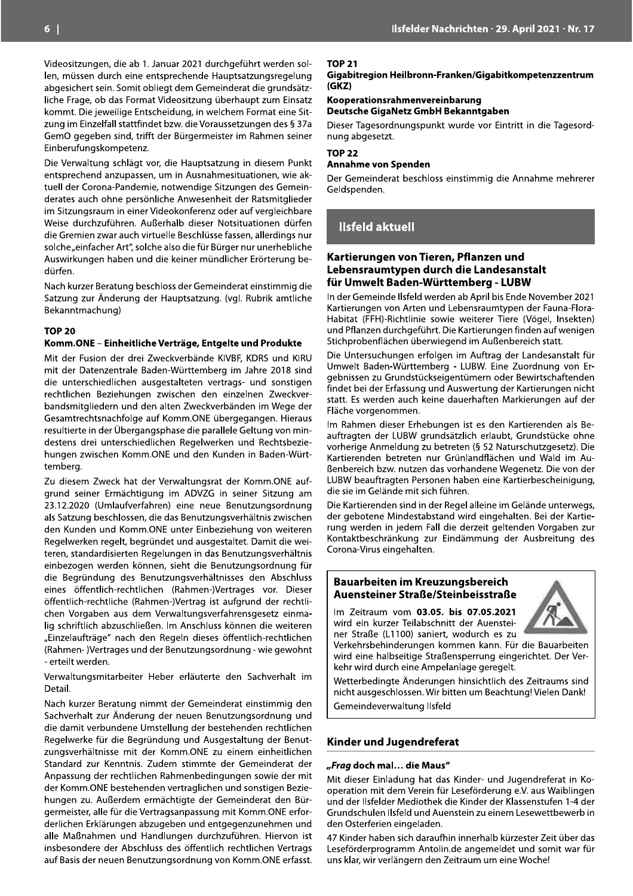Videositzungen, die ab 1. Januar 2021 durchgeführt werden sollen, müssen durch eine entsprechende Hauptsatzungsregelung abgesichert sein. Somit obliegt dem Gemeinderat die grundsätzliche Frage, ob das Format Videositzung überhaupt zum Einsatz kommt. Die jeweilige Entscheidung, in welchem Format eine Sitzung im Einzelfall stattfindet bzw. die Voraussetzungen des § 37a GemO gegeben sind, trifft der Bürgermeister im Rahmen seiner Einberufungskompetenz.

Die Verwaltung schlägt vor, die Hauptsatzung in diesem Punkt entsprechend anzupassen, um in Ausnahmesituationen, wie aktuell der Corona-Pandemie, notwendige Sitzungen des Gemeinderates auch ohne persönliche Anwesenheit der Ratsmitglieder im Sitzungsraum in einer Videokonferenz oder auf vergleichbare Weise durchzuführen. Außerhalb dieser Notsituationen dürfen die Gremien zwar auch virtuelle Beschlüsse fassen, allerdings nur solche "einfacher Art", solche also die für Bürger nur unerhebliche Auswirkungen haben und die keiner mündlicher Erörterung bedürfen.

Nach kurzer Beratung beschloss der Gemeinderat einstimmig die Satzung zur Änderung der Hauptsatzung. (vgl. Rubrik amtliche Bekanntmachung)

#### **TOP 20**

#### Komm.ONE - Einheitliche Verträge, Entgelte und Produkte

Mit der Fusion der drei Zweckverbände KIVBF, KDRS und KIRU mit der Datenzentrale Baden-Württemberg im Jahre 2018 sind die unterschiedlichen ausgestalteten vertrags- und sonstigen rechtlichen Beziehungen zwischen den einzelnen Zweckverbandsmitgliedern und den alten Zweckverbänden im Wege der Gesamtrechtsnachfolge auf Komm.ONE übergegangen. Hieraus resultierte in der Übergangsphase die parallele Geltung von mindestens drei unterschiedlichen Regelwerken und Rechtsbeziehungen zwischen Komm.ONE und den Kunden in Baden-Württembera.

Zu diesem Zweck hat der Verwaltungsrat der Komm.ONE aufgrund seiner Ermächtigung im ADVZG in seiner Sitzung am 23.12.2020 (Umlaufverfahren) eine neue Benutzungsordnung als Satzung beschlossen, die das Benutzungsverhältnis zwischen den Kunden und Komm.ONE unter Einbeziehung von weiteren Regelwerken regelt, begründet und ausgestaltet. Damit die weiteren, standardisierten Regelungen in das Benutzungsverhältnis einbezogen werden können, sieht die Benutzungsordnung für die Begründung des Benutzungsverhältnisses den Abschluss eines öffentlich-rechtlichen (Rahmen-)Vertrages vor. Dieser öffentlich-rechtliche (Rahmen-)Vertrag ist aufgrund der rechtlichen Vorgaben aus dem Verwaltungsverfahrensgesetz einmalig schriftlich abzuschließen. Im Anschluss können die weiteren "Einzelaufträge" nach den Regeln dieses öffentlich-rechtlichen (Rahmen-)Vertrages und der Benutzungsordnung - wie gewohnt - erteilt werden.

Verwaltungsmitarbeiter Heber erläuterte den Sachverhalt im Detail.

Nach kurzer Beratung nimmt der Gemeinderat einstimmig den Sachverhalt zur Änderung der neuen Benutzungsordnung und die damit verbundene Umstellung der bestehenden rechtlichen Regelwerke für die Begründung und Ausgestaltung der Benutzungsverhältnisse mit der Komm.ONE zu einem einheitlichen Standard zur Kenntnis. Zudem stimmte der Gemeinderat der Anpassung der rechtlichen Rahmenbedingungen sowie der mit der Komm. ONE bestehenden vertraglichen und sonstigen Beziehungen zu. Außerdem ermächtigte der Gemeinderat den Bürgermeister, alle für die Vertragsanpassung mit Komm.ONE erforderlichen Erklärungen abzugeben und entgegenzunehmen und alle Maßnahmen und Handlungen durchzuführen. Hiervon ist insbesondere der Abschluss des öffentlich rechtlichen Vertrags auf Basis der neuen Benutzungsordnung von Komm.ONE erfasst.

#### **TOP 21**

Gigabitregion Heilbronn-Franken/Gigabitkompetenzzentrum  $(GKZ)$ 

Kooperationsrahmenvereinbarung Deutsche GigaNetz GmbH Bekanntgaben

Dieser Tagesordnungspunkt wurde vor Eintritt in die Tagesordnung abgesetzt.

#### **TOP 22**

**Annahme von Spenden** 

Der Gemeinderat beschloss einstimmig die Annahme mehrerer Geldspenden.

## **Ilsfeld aktuell**

#### Kartierungen von Tieren, Pflanzen und Lebensraumtypen durch die Landesanstalt für Umwelt Baden-Württemberg - LUBW

In der Gemeinde Ilsfeld werden ab April bis Ende November 2021 Kartierungen von Arten und Lebensraumtypen der Fauna-Flora-Habitat (FFH)-Richtlinie sowie weiterer Tiere (Vögel, Insekten) und Pflanzen durchgeführt. Die Kartierungen finden auf wenigen Stichprobenflächen überwiegend im Außenbereich statt.

Die Untersuchungen erfolgen im Auftrag der Landesanstalt für Umwelt Baden-Württemberg - LUBW. Eine Zuordnung von Ergebnissen zu Grundstückseigentümern oder Bewirtschaftenden findet bei der Erfassung und Auswertung der Kartierungen nicht statt. Es werden auch keine dauerhaften Markierungen auf der Fläche vorgenommen.

Im Rahmen dieser Erhebungen ist es den Kartierenden als Beauftragten der LUBW grundsätzlich erlaubt, Grundstücke ohne vorherige Anmeldung zu betreten (§ 52 Naturschutzgesetz). Die Kartierenden betreten nur Grünlandflächen und Wald im Außenbereich bzw. nutzen das vorhandene Wegenetz. Die von der LUBW beauftragten Personen haben eine Kartierbescheinigung, die sie im Gelände mit sich führen.

Die Kartierenden sind in der Regel alleine im Gelände unterwegs, der gebotene Mindestabstand wird eingehalten. Bei der Kartierung werden in jedem Fall die derzeit geltenden Vorgaben zur Kontaktbeschränkung zur Eindämmung der Ausbreitung des Corona-Virus eingehalten.

#### **Bauarbeiten im Kreuzungsbereich** Auensteiner Straße/Steinbeisstraße

Im Zeitraum vom 03.05. bis 07.05.2021 wird ein kurzer Teilabschnitt der Auensteiner Straße (L1100) saniert, wodurch es zu



Verkehrsbehinderungen kommen kann. Für die Bauarbeiten wird eine halbseitige Straßensperrung eingerichtet. Der Verkehr wird durch eine Ampelanlage geregelt.

Wetterbedingte Änderungen hinsichtlich des Zeitraums sind nicht ausgeschlossen. Wir bitten um Beachtung! Vielen Dank! Gemeindeverwaltung Ilsfeld

#### Kinder und Jugendreferat

#### "Frag doch mal... die Maus"

Mit dieser Einladung hat das Kinder- und Jugendreferat in Kooperation mit dem Verein für Leseförderung e.V. aus Waiblingen und der Ilsfelder Mediothek die Kinder der Klassenstufen 1-4 der Grundschulen Ilsfeld und Auenstein zu einem Lesewettbewerb in den Osterferien eingeladen.

47 Kinder haben sich daraufhin innerhalb kürzester Zeit über das Leseförderprogramm Antolin.de angemeldet und somit war für uns klar, wir verlängern den Zeitraum um eine Woche!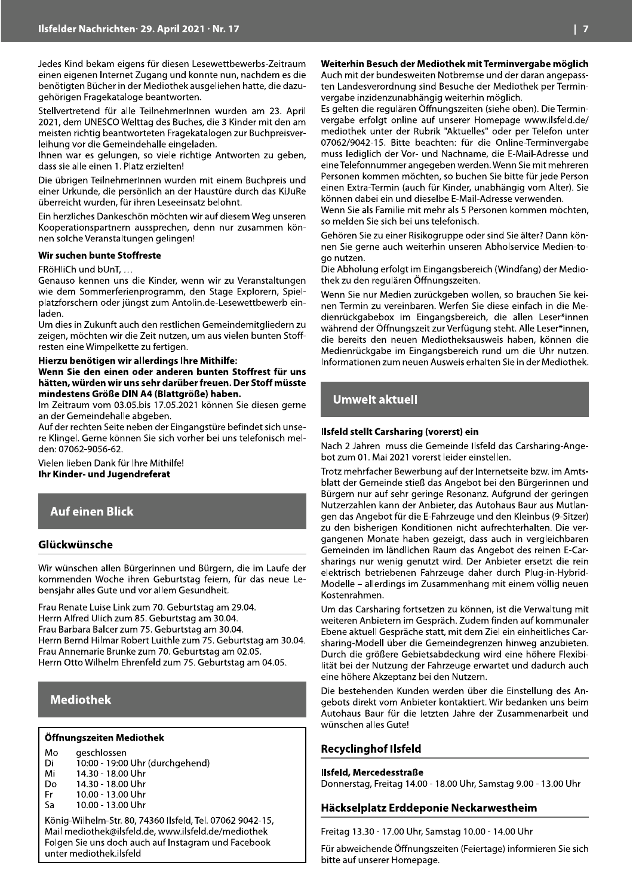Jedes Kind bekam eigens für diesen Lesewettbewerbs-Zeitraum einen eigenen Internet Zugang und konnte nun, nachdem es die benötigten Bücher in der Mediothek ausgeliehen hatte, die dazugehörigen Fragekataloge beantworten.

Stellvertretend für alle TeilnehmerInnen wurden am 23. April 2021, dem UNESCO Welttag des Buches, die 3 Kinder mit den am meisten richtig beantworteten Fragekatalogen zur Buchpreisverleihung vor die Gemeindehalle eingeladen.

Ihnen war es gelungen, so viele richtige Antworten zu geben, dass sie alle einen 1. Platz erzielten!

Die übrigen TeilnehmerInnen wurden mit einem Buchpreis und einer Urkunde, die persönlich an der Haustüre durch das KiJuRe überreicht wurden, für ihren Leseeinsatz belohnt.

Ein herzliches Dankeschön möchten wir auf diesem Weg unseren Kooperationspartnern aussprechen, denn nur zusammen können solche Veranstaltungen gelingen!

#### Wir suchen bunte Stoffreste

FRöHliCh und bUnT, ...

Genauso kennen uns die Kinder, wenn wir zu Veranstaltungen wie dem Sommerferienprogramm, den Stage Explorern, Spielplatzforschern oder jüngst zum Antolin.de-Lesewettbewerb einladen

Um dies in Zukunft auch den restlichen Gemeindemitgliedern zu zeigen, möchten wir die Zeit nutzen, um aus vielen bunten Stoffresten eine Wimpelkette zu fertigen.

#### Hierzu benötigen wir allerdings Ihre Mithilfe:

Wenn Sie den einen oder anderen bunten Stoffrest für uns hätten, würden wir uns sehr darüber freuen. Der Stoff müsste mindestens Größe DIN A4 (Blattgröße) haben.

Im Zeitraum vom 03.05.bis 17.05.2021 können Sie diesen gerne an der Gemeindehalle abgeben.

Auf der rechten Seite neben der Eingangstüre befindet sich unsere Klingel. Gerne können Sie sich vorher bei uns telefonisch melden: 07062-9056-62.

Vielen lieben Dank für Ihre Mithilfe! Ihr Kinder- und Jugendreferat

### **Auf einen Blick**

#### Glückwünsche

Wir wünschen allen Bürgerinnen und Bürgern, die im Laufe der kommenden Woche ihren Geburtstag feiern, für das neue Lebensjahr alles Gute und vor allem Gesundheit.

Frau Renate Luise Link zum 70. Geburtstag am 29.04. Herrn Alfred Ulich zum 85. Geburtstag am 30.04. Frau Barbara Balcer zum 75. Geburtstag am 30.04. Herrn Bernd Hilmar Robert Luithle zum 75. Geburtstag am 30.04. Frau Annemarie Brunke zum 70. Geburtstag am 02.05. Herrn Otto Wilhelm Ehrenfeld zum 75. Geburtstag am 04.05.

#### **Mediothek**

#### Öffnungszeiten Mediothek

Mo aeschlossen

- 10:00 19:00 Uhr (durchgehend) Di
- Mi 14.30 - 18.00 Uhr
- **Do** 14.30 - 18.00 Uhr 10.00 - 13.00 Uhr Fr
- 10.00 13.00 Uhr ۲a

König-Wilhelm-Str. 80, 74360 Ilsfeld, Tel. 07062 9042-15, Mail mediothek@ilsfeld.de, www.ilsfeld.de/mediothek Folgen Sie uns doch auch auf Instagram und Facebook unter mediothek.ilsfeld

#### Weiterhin Besuch der Mediothek mit Terminvergabe möglich

Auch mit der bundesweiten Notbremse und der daran angepassten Landesverordnung sind Besuche der Mediothek per Terminvergabe inzidenzunabhängig weiterhin möglich.

Es gelten die regulären Öffnungszeiten (siehe oben). Die Terminvergabe erfolgt online auf unserer Homepage www.ilsfeld.de/ mediothek unter der Rubrik "Aktuelles" oder per Telefon unter 07062/9042-15. Bitte beachten: für die Online-Terminvergabe muss lediglich der Vor- und Nachname, die E-Mail-Adresse und eine Telefonnummer angegeben werden. Wenn Sie mit mehreren Personen kommen möchten, so buchen Sie bitte für jede Person einen Extra-Termin (auch für Kinder, unabhängig vom Alter). Sie können dabei ein und dieselbe E-Mail-Adresse verwenden.

Wenn Sie als Familie mit mehr als 5 Personen kommen möchten, so melden Sie sich bei uns telefonisch.

Gehören Sie zu einer Risikogruppe oder sind Sie älter? Dann können Sie gerne auch weiterhin unseren Abholservice Medien-togo nutzen.

Die Abholung erfolgt im Eingangsbereich (Windfang) der Mediothek zu den regulären Öffnungszeiten.

Wenn Sie nur Medien zurückgeben wollen, so brauchen Sie keinen Termin zu vereinbaren. Werfen Sie diese einfach in die Medienrückgabebox im Eingangsbereich, die allen Leser\*innen während der Öffnungszeit zur Verfügung steht. Alle Leser\*innen, die bereits den neuen Mediotheksausweis haben, können die Medienrückgabe im Eingangsbereich rund um die Uhr nutzen. Informationen zum neuen Ausweis erhalten Sie in der Mediothek.

## **Umwelt aktuell**

#### Ilsfeld stellt Carsharing (vorerst) ein

Nach 2 Jahren muss die Gemeinde Ilsfeld das Carsharing-Angebot zum 01. Mai 2021 vorerst leider einstellen.

Trotz mehrfacher Bewerbung auf der Internetseite bzw. im Amtsblatt der Gemeinde stieß das Angebot bei den Bürgerinnen und Bürgern nur auf sehr geringe Resonanz. Aufgrund der geringen Nutzerzahlen kann der Anbieter, das Autohaus Baur aus Mutlangen das Angebot für die E-Fahrzeuge und den Kleinbus (9-Sitzer) zu den bisherigen Konditionen nicht aufrechterhalten. Die vergangenen Monate haben gezeigt, dass auch in vergleichbaren Gemeinden im ländlichen Raum das Angebot des reinen E-Carsharings nur wenig genutzt wird. Der Anbieter ersetzt die rein elektrisch betriebenen Fahrzeuge daher durch Plug-in-Hybrid-Modelle - allerdings im Zusammenhang mit einem völlig neuen Kostenrahmen.

Um das Carsharing fortsetzen zu können, ist die Verwaltung mit weiteren Anbietern im Gespräch. Zudem finden auf kommunaler Ebene aktuell Gespräche statt, mit dem Ziel ein einheitliches Carsharing-Modell über die Gemeindegrenzen hinweg anzubieten. Durch die größere Gebietsabdeckung wird eine höhere Flexibilität bei der Nutzung der Fahrzeuge erwartet und dadurch auch eine höhere Akzeptanz bei den Nutzern.

Die bestehenden Kunden werden über die Einstellung des Angebots direkt vom Anbieter kontaktiert. Wir bedanken uns beim Autohaus Baur für die letzten Jahre der Zusammenarbeit und wünschen alles Gute!

#### **Recyclinghof Ilsfeld**

#### Ilsfeld, Mercedesstraße Donnerstag, Freitag 14.00 - 18.00 Uhr, Samstag 9.00 - 13.00 Uhr

#### Häckselplatz Erddeponie Neckarwestheim

Freitag 13.30 - 17.00 Uhr, Samstag 10.00 - 14.00 Uhr

Für abweichende Öffnungszeiten (Feiertage) informieren Sie sich bitte auf unserer Homepage.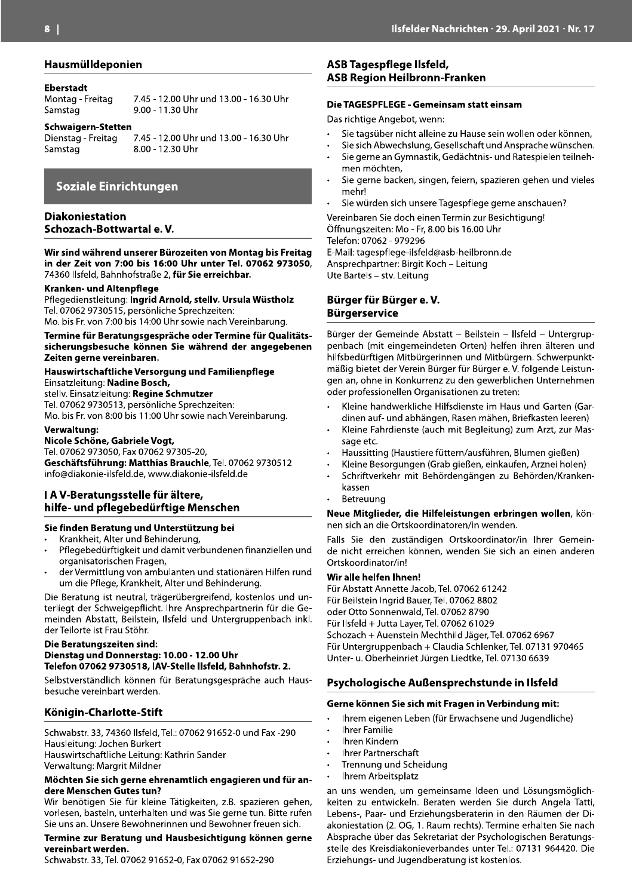#### Hausmülldeponien

#### **Eberstadt**

Montag - Freitag Samstag

9.00 - 11.30 Uhr **Schwaigern-Stetten** 

7.45 - 12.00 Uhr und 13.00 - 16.30 Uhr

Samstag

7.45 - 12.00 Uhr und 13.00 - 16.30 Uhr Dienstag - Freitag 8.00 - 12.30 Uhr

## **Soziale Einrichtungen**

#### **Diakoniestation** Schozach-Bottwartal e.V.

Wir sind während unserer Bürozeiten von Montag bis Freitag in der Zeit von 7:00 bis 16:00 Uhr unter Tel. 07062 973050, 74360 Ilsfeld, Bahnhofstraße 2, für Sie erreichbar.

#### Kranken- und Altenpflege

Pflegedienstleitung: Ingrid Arnold, stellv. Ursula Wüstholz Tel. 07062 9730515, persönliche Sprechzeiten: Mo. bis Fr. von 7:00 bis 14:00 Uhr sowie nach Vereinbarung.

Termine für Beratungsgespräche oder Termine für Qualitätssicherungsbesuche können Sie während der angegebenen Zeiten gerne vereinbaren.

#### Hauswirtschaftliche Versorgung und Familienpflege Einsatzleitung: Nadine Bosch,

stelly. Einsatzleitung: Regine Schmutzer Tel. 07062 9730513, persönliche Sprechzeiten: Mo. bis Fr. von 8:00 bis 11:00 Uhr sowie nach Vereinbarung.

#### Verwaltung:

Nicole Schöne, Gabriele Vogt,

Tel. 07062 973050, Fax 07062 97305-20,

Geschäftsführung: Matthias Brauchle, Tel. 07062 9730512 info@diakonie-ilsfeld.de, www.diakonie-ilsfeld.de

#### I A V-Beratungsstelle für ältere, hilfe- und pflegebedürftige Menschen

#### Sie finden Beratung und Unterstützung bei

- Krankheit, Alter und Behinderung,
- Pflegebedürftigkeit und damit verbundenen finanziellen und organisatorischen Fragen,
- der Vermittlung von ambulanten und stationären Hilfen rund um die Pflege, Krankheit, Alter und Behinderung.

Die Beratung ist neutral, trägerübergreifend, kostenlos und unterliegt der Schweigepflicht. Ihre Ansprechpartnerin für die Gemeinden Abstatt, Beilstein, Ilsfeld und Untergruppenbach inkl. der Teilorte ist Frau Stöhr.

#### Die Beratungszeiten sind: Dienstag und Donnerstag: 10.00 - 12.00 Uhr Telefon 07062 9730518, IAV-Stelle Ilsfeld, Bahnhofstr. 2.

Selbstverständlich können für Beratungsgespräche auch Hausbesuche vereinbart werden.

#### Königin-Charlotte-Stift

Schwabstr. 33, 74360 Ilsfeld, Tel.: 07062 91652-0 und Fax -290 Hausleitung: Jochen Burkert Hauswirtschaftliche Leitung: Kathrin Sander Verwaltung: Margrit Mildner

#### Möchten Sie sich gerne ehrenamtlich engagieren und für andere Menschen Gutes tun?

Wir benötigen Sie für kleine Tätigkeiten, z.B. spazieren gehen, vorlesen, basteln, unterhalten und was Sie gerne tun. Bitte rufen Sie uns an. Unsere Bewohnerinnen und Bewohner freuen sich.

#### Termine zur Beratung und Hausbesichtigung können gerne vereinbart werden.

Schwabstr. 33, Tel. 07062 91652-0, Fax 07062 91652-290

#### ASB Tagespflege Ilsfeld, **ASB Region Heilbronn-Franken**

#### Die TAGESPFLEGE - Gemeinsam statt einsam

Das richtige Angebot, wenn:

- Sie tagsüber nicht alleine zu Hause sein wollen oder können,
- Sie sich Abwechslung, Gesellschaft und Ansprache wünschen. Sie gerne an Gymnastik, Gedächtnis- und Ratespielen teilnehmen möchten,
- Sie gerne backen, singen, feiern, spazieren gehen und vieles mehr!
- Sie würden sich unsere Tagespflege gerne anschauen?

Vereinbaren Sie doch einen Termin zur Besichtigung! Öffnungszeiten: Mo - Fr, 8.00 bis 16.00 Uhr Telefon: 07062 - 979296 E-Mail: tagespflege-ilsfeld@asb-heilbronn.de Ansprechpartner: Birgit Koch - Leitung Ute Bartels - stv. Leitung

#### Bürger für Bürger e.V. **Bürgerservice**

Bürger der Gemeinde Abstatt - Beilstein - Ilsfeld - Untergruppenbach (mit eingemeindeten Orten) helfen ihren älteren und hilfsbedürftigen Mitbürgerinnen und Mitbürgern. Schwerpunktmäßig bietet der Verein Bürger für Bürger e. V. folgende Leistungen an, ohne in Konkurrenz zu den gewerblichen Unternehmen oder professionellen Organisationen zu treten:

- Kleine handwerkliche Hilfsdienste im Haus und Garten (Gardinen auf- und abhängen, Rasen mähen, Briefkasten leeren)
- Kleine Fahrdienste (auch mit Begleitung) zum Arzt, zur Massage etc.
- Haussitting (Haustiere füttern/ausführen, Blumen gießen)
- Kleine Besorgungen (Grab gießen, einkaufen, Arznei holen)
- Schriftverkehr mit Behördengängen zu Behörden/Krankenkassen
- Betreuung

Neue Mitglieder, die Hilfeleistungen erbringen wollen, können sich an die Ortskoordinatoren/in wenden.

Falls Sie den zuständigen Ortskoordinator/in Ihrer Gemeinde nicht erreichen können, wenden Sie sich an einen anderen Ortskoordinator/in!

#### Wir alle helfen Ihnen!

Für Abstatt Annette Jacob, Tel. 07062 61242 Für Beilstein Ingrid Bauer, Tel. 07062 8802 oder Otto Sonnenwald, Tel. 07062 8790 Für Ilsfeld + Jutta Layer, Tel. 07062 61029 Schozach + Auenstein Mechthild Jäger, Tel. 07062 6967 Für Untergruppenbach + Claudia Schlenker, Tel. 07131 970465 Unter- u. Oberheinriet Jürgen Liedtke, Tel. 07130 6639

Psychologische Außensprechstunde in Ilsfeld

#### Gerne können Sie sich mit Fragen in Verbindung mit:

- Ihrem eigenen Leben (für Erwachsene und Jugendliche)
- **Ihrer Familie**
- Ihren Kindern
- **Ihrer Partnerschaft**
- Trennung und Scheidung  $\ddot{\phantom{0}}$
- Ihrem Arbeitsplatz

an uns wenden, um gemeinsame Ideen und Lösungsmöglichkeiten zu entwickeln. Beraten werden Sie durch Angela Tatti, Lebens-, Paar- und Erziehungsberaterin in den Räumen der Diakoniestation (2. OG, 1. Raum rechts). Termine erhalten Sie nach Absprache über das Sekretariat der Psychologischen Beratungsstelle des Kreisdiakonieverbandes unter Tel.: 07131 964420. Die Erziehungs- und Jugendberatung ist kostenlos.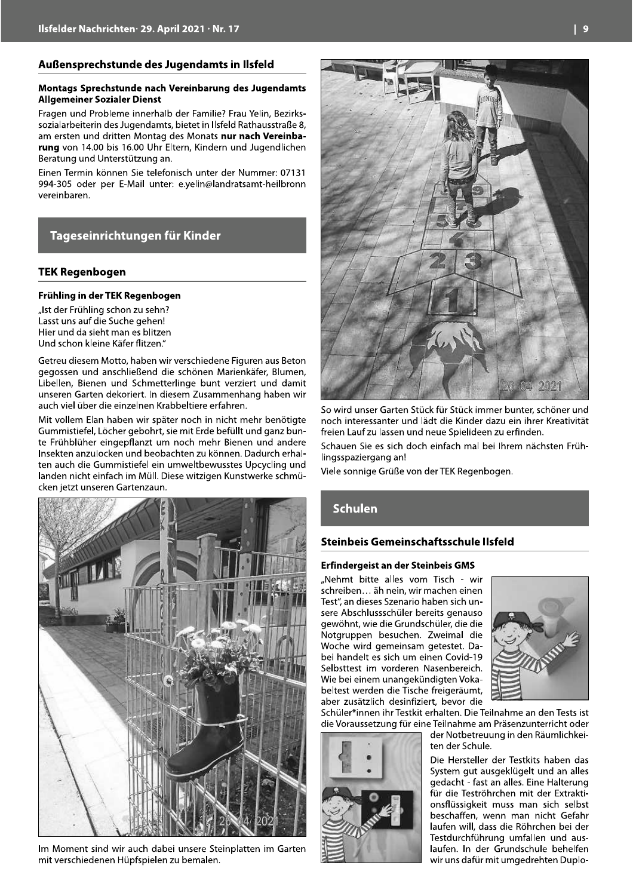#### Außensprechstunde des Jugendamts in Ilsfeld

#### Montags Sprechstunde nach Vereinbarung des Jugendamts **Allgemeiner Sozialer Dienst**

Fragen und Probleme innerhalb der Familie? Frau Yelin, Bezirkssozialarbeiterin des Jugendamts, bietet in Ilsfeld Rathausstraße 8, am ersten und dritten Montag des Monats nur nach Vereinbarung von 14.00 bis 16.00 Uhr Eltern, Kindern und Jugendlichen Beratung und Unterstützung an.

Einen Termin können Sie telefonisch unter der Nummer: 07131 994-305 oder per E-Mail unter: e.yelin@landratsamt-heilbronn vereinbaren.

### Tageseinrichtungen für Kinder

#### **TEK Regenbogen**

#### Frühling in der TEK Regenbogen

"Ist der Frühling schon zu sehn? Lasst uns auf die Suche gehen! Hier und da sieht man es blitzen Und schon kleine Käfer flitzen."

Getreu diesem Motto, haben wir verschiedene Figuren aus Beton gegossen und anschließend die schönen Marienkäfer, Blumen, Libellen, Bienen und Schmetterlinge bunt verziert und damit unseren Garten dekoriert. In diesem Zusammenhang haben wir auch viel über die einzelnen Krabbeltiere erfahren.

Mit vollem Elan haben wir später noch in nicht mehr benötigte Gummistiefel, Löcher gebohrt, sie mit Erde befüllt und ganz bunte Frühblüher eingepflanzt um noch mehr Bienen und andere Insekten anzulocken und beobachten zu können. Dadurch erhalten auch die Gummistiefel ein umweltbewusstes Upcycling und landen nicht einfach im Müll. Diese witzigen Kunstwerke schmücken jetzt unseren Gartenzaun.



Im Moment sind wir auch dabei unsere Steinplatten im Garten mit verschiedenen Hüpfspielen zu bemalen.



So wird unser Garten Stück für Stück immer bunter, schöner und noch interessanter und lädt die Kinder dazu ein ihrer Kreativität freien Lauf zu lassen und neue Spielideen zu erfinden.

Schauen Sie es sich doch einfach mal bei Ihrem nächsten Frühlingsspaziergang an!

Viele sonnige Grüße von der TEK Regenbogen.

#### **Schulen**

#### Steinbeis Gemeinschaftsschule Ilsfeld

#### Erfindergeist an der Steinbeis GMS

"Nehmt bitte alles vom Tisch - wir schreiben... äh nein, wir machen einen Test", an dieses Szenario haben sich unsere Abschlussschüler bereits genauso gewöhnt, wie die Grundschüler, die die Notgruppen besuchen. Zweimal die Woche wird gemeinsam getestet. Dabei handelt es sich um einen Covid-19 Selbsttest im vorderen Nasenbereich. Wie bei einem unangekündigten Vokabeltest werden die Tische freigeräumt. aber zusätzlich desinfiziert, bevor die



Schüler\*innen ihr Testkit erhalten. Die Teilnahme an den Tests ist die Voraussetzung für eine Teilnahme am Präsenzunterricht oder

der Notbetreuung in den Räumlichkeiten der Schule.

Die Hersteller der Testkits haben das System gut ausgeklügelt und an alles gedacht - fast an alles. Eine Halterung für die Teströhrchen mit der Extraktionsflüssigkeit muss man sich selbst beschaffen, wenn man nicht Gefahr laufen will, dass die Röhrchen bei der Testdurchführung umfallen und auslaufen. In der Grundschule behelfen wir uns dafür mit umgedrehten Duplo